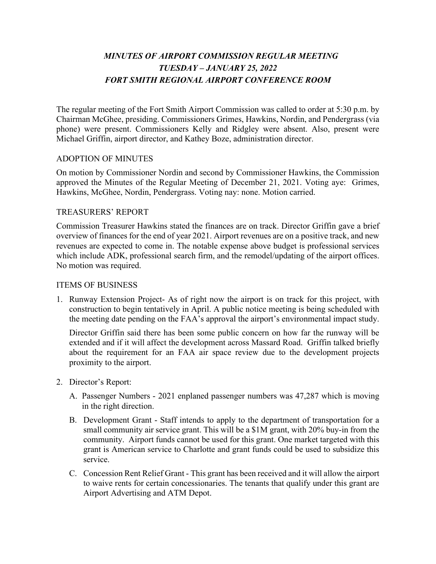## *MINUTES OF AIRPORT COMMISSION REGULAR MEETING TUESDAY – JANUARY 25, 2022 FORT SMITH REGIONAL AIRPORT CONFERENCE ROOM*

The regular meeting of the Fort Smith Airport Commission was called to order at 5:30 p.m. by Chairman McGhee, presiding. Commissioners Grimes, Hawkins, Nordin, and Pendergrass (via phone) were present. Commissioners Kelly and Ridgley were absent. Also, present were Michael Griffin, airport director, and Kathey Boze, administration director.

## ADOPTION OF MINUTES

On motion by Commissioner Nordin and second by Commissioner Hawkins, the Commission approved the Minutes of the Regular Meeting of December 21, 2021. Voting aye: Grimes, Hawkins, McGhee, Nordin, Pendergrass. Voting nay: none. Motion carried.

#### TREASURERS' REPORT

Commission Treasurer Hawkins stated the finances are on track. Director Griffin gave a brief overview of finances for the end of year 2021. Airport revenues are on a positive track, and new revenues are expected to come in. The notable expense above budget is professional services which include ADK, professional search firm, and the remodel/updating of the airport offices. No motion was required.

#### ITEMS OF BUSINESS

1. Runway Extension Project- As of right now the airport is on track for this project, with construction to begin tentatively in April. A public notice meeting is being scheduled with the meeting date pending on the FAA's approval the airport's environmental impact study.

Director Griffin said there has been some public concern on how far the runway will be extended and if it will affect the development across Massard Road. Griffin talked briefly about the requirement for an FAA air space review due to the development projects proximity to the airport.

- 2. Director's Report:
	- A. Passenger Numbers 2021 enplaned passenger numbers was 47,287 which is moving in the right direction.
	- B. Development Grant Staff intends to apply to the department of transportation for a small community air service grant. This will be a \$1M grant, with 20% buy-in from the community. Airport funds cannot be used for this grant. One market targeted with this grant is American service to Charlotte and grant funds could be used to subsidize this service.
	- C. Concession Rent Relief Grant This grant has been received and it will allow the airport to waive rents for certain concessionaries. The tenants that qualify under this grant are Airport Advertising and ATM Depot.